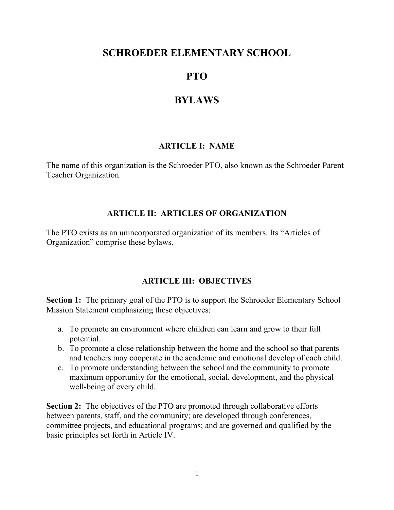# **SCHROEDER ELEMENTARY SCHOOL**

# **PTO**

# **BYLAWS**

# **ARTICLE I: NAME**

The name of this organization is the Schroeder PTO, also known as the Schroeder Parent Teacher Organization.

### **ARTICLE II: ARTICLES OF ORGANIZATION**

The PTO exists as an unincorporated organization of its members. Its "Articles of Organization" comprise these bylaws.

# **ARTICLE III: OBJECTIVES**

**Section 1:** The primary goal of the PTO is to support the Schroeder Elementary School Mission Statement emphasizing these objectives:

- a. To promote an environment where children can learn and grow to their full potential.
- b. To promote a close relationship between the home and the school so that parents and teachers may cooperate in the academic and emotional develop of each child.
- c. To promote understanding between the school and the community to promote maximum opportunity for the emotional, social, development, and the physical well-being of every child.

**Section 2:** The objectives of the PTO are promoted through collaborative efforts between parents, staff, and the community; are developed through conferences, committee projects, and educational programs; and are governed and qualified by the basic principles set forth in Article IV.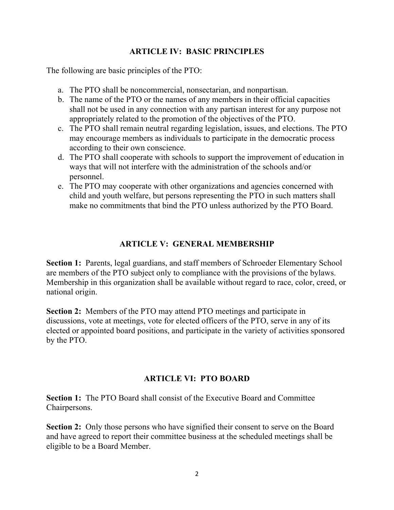### **ARTICLE IV: BASIC PRINCIPLES**

The following are basic principles of the PTO:

- a. The PTO shall be noncommercial, nonsectarian, and nonpartisan.
- b. The name of the PTO or the names of any members in their official capacities shall not be used in any connection with any partisan interest for any purpose not appropriately related to the promotion of the objectives of the PTO.
- c. The PTO shall remain neutral regarding legislation, issues, and elections. The PTO may encourage members as individuals to participate in the democratic process according to their own conscience.
- d. The PTO shall cooperate with schools to support the improvement of education in ways that will not interfere with the administration of the schools and/or personnel.
- e. The PTO may cooperate with other organizations and agencies concerned with child and youth welfare, but persons representing the PTO in such matters shall make no commitments that bind the PTO unless authorized by the PTO Board.

### **ARTICLE V: GENERAL MEMBERSHIP**

**Section 1:** Parents, legal guardians, and staff members of Schroeder Elementary School are members of the PTO subject only to compliance with the provisions of the bylaws. Membership in this organization shall be available without regard to race, color, creed, or national origin.

**Section 2:** Members of the PTO may attend PTO meetings and participate in discussions, vote at meetings, vote for elected officers of the PTO, serve in any of its elected or appointed board positions, and participate in the variety of activities sponsored by the PTO.

# **ARTICLE VI: PTO BOARD**

**Section 1:** The PTO Board shall consist of the Executive Board and Committee Chairpersons.

**Section 2:** Only those persons who have signified their consent to serve on the Board and have agreed to report their committee business at the scheduled meetings shall be eligible to be a Board Member.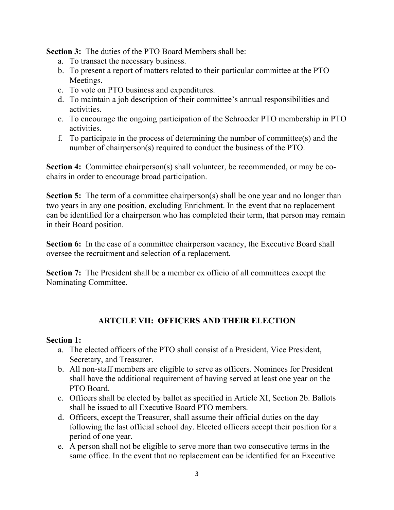**Section 3:** The duties of the PTO Board Members shall be:

- a. To transact the necessary business.
- b. To present a report of matters related to their particular committee at the PTO Meetings.
- c. To vote on PTO business and expenditures.
- d. To maintain a job description of their committee's annual responsibilities and activities.
- e. To encourage the ongoing participation of the Schroeder PTO membership in PTO activities.
- f. To participate in the process of determining the number of committee(s) and the number of chairperson(s) required to conduct the business of the PTO.

**Section 4:** Committee chairperson(s) shall volunteer, be recommended, or may be cochairs in order to encourage broad participation.

**Section 5:** The term of a committee chairperson(s) shall be one year and no longer than two years in any one position, excluding Enrichment. In the event that no replacement can be identified for a chairperson who has completed their term, that person may remain in their Board position.

**Section 6:** In the case of a committee chairperson vacancy, the Executive Board shall oversee the recruitment and selection of a replacement.

**Section 7:** The President shall be a member ex officio of all committees except the Nominating Committee.

# **ARTCILE VII: OFFICERS AND THEIR ELECTION**

#### **Section 1:**

- a. The elected officers of the PTO shall consist of a President, Vice President, Secretary, and Treasurer.
- b. All non-staff members are eligible to serve as officers. Nominees for President shall have the additional requirement of having served at least one year on the PTO Board.
- c. Officers shall be elected by ballot as specified in Article XI, Section 2b. Ballots shall be issued to all Executive Board PTO members.
- d. Officers, except the Treasurer, shall assume their official duties on the day following the last official school day. Elected officers accept their position for a period of one year.
- e. A person shall not be eligible to serve more than two consecutive terms in the same office. In the event that no replacement can be identified for an Executive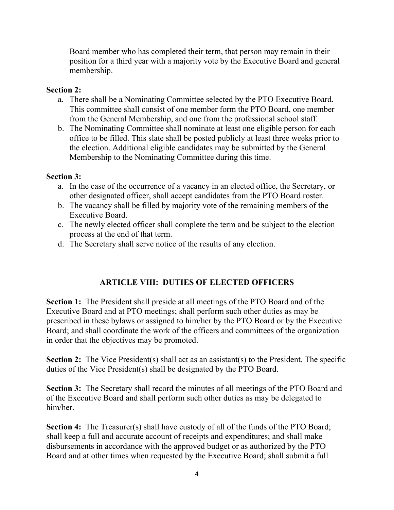Board member who has completed their term, that person may remain in their position for a third year with a majority vote by the Executive Board and general membership.

### **Section 2:**

- a. There shall be a Nominating Committee selected by the PTO Executive Board. This committee shall consist of one member form the PTO Board, one member from the General Membership, and one from the professional school staff.
- b. The Nominating Committee shall nominate at least one eligible person for each office to be filled. This slate shall be posted publicly at least three weeks prior to the election. Additional eligible candidates may be submitted by the General Membership to the Nominating Committee during this time.

### **Section 3:**

- a. In the case of the occurrence of a vacancy in an elected office, the Secretary, or other designated officer, shall accept candidates from the PTO Board roster.
- b. The vacancy shall be filled by majority vote of the remaining members of the Executive Board.
- c. The newly elected officer shall complete the term and be subject to the election process at the end of that term.
- d. The Secretary shall serve notice of the results of any election.

# **ARTICLE VIII: DUTIES OF ELECTED OFFICERS**

**Section 1:** The President shall preside at all meetings of the PTO Board and of the Executive Board and at PTO meetings; shall perform such other duties as may be prescribed in these bylaws or assigned to him/her by the PTO Board or by the Executive Board; and shall coordinate the work of the officers and committees of the organization in order that the objectives may be promoted.

**Section 2:** The Vice President(s) shall act as an assistant(s) to the President. The specific duties of the Vice President(s) shall be designated by the PTO Board.

**Section 3:** The Secretary shall record the minutes of all meetings of the PTO Board and of the Executive Board and shall perform such other duties as may be delegated to him/her.

**Section 4:** The Treasurer(s) shall have custody of all of the funds of the PTO Board; shall keep a full and accurate account of receipts and expenditures; and shall make disbursements in accordance with the approved budget or as authorized by the PTO Board and at other times when requested by the Executive Board; shall submit a full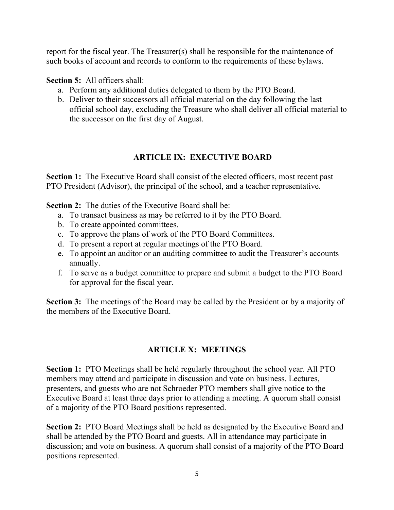report for the fiscal year. The Treasurer(s) shall be responsible for the maintenance of such books of account and records to conform to the requirements of these bylaws.

#### **Section 5:** All officers shall:

- a. Perform any additional duties delegated to them by the PTO Board.
- b. Deliver to their successors all official material on the day following the last official school day, excluding the Treasure who shall deliver all official material to the successor on the first day of August.

# **ARTICLE IX: EXECUTIVE BOARD**

**Section 1:** The Executive Board shall consist of the elected officers, most recent past PTO President (Advisor), the principal of the school, and a teacher representative.

**Section 2:** The duties of the Executive Board shall be:

- a. To transact business as may be referred to it by the PTO Board.
- b. To create appointed committees.
- c. To approve the plans of work of the PTO Board Committees.
- d. To present a report at regular meetings of the PTO Board.
- e. To appoint an auditor or an auditing committee to audit the Treasurer's accounts annually.
- f. To serve as a budget committee to prepare and submit a budget to the PTO Board for approval for the fiscal year.

**Section 3:** The meetings of the Board may be called by the President or by a majority of the members of the Executive Board.

# **ARTICLE X: MEETINGS**

**Section 1:** PTO Meetings shall be held regularly throughout the school year. All PTO members may attend and participate in discussion and vote on business. Lectures, presenters, and guests who are not Schroeder PTO members shall give notice to the Executive Board at least three days prior to attending a meeting. A quorum shall consist of a majority of the PTO Board positions represented.

**Section 2:** PTO Board Meetings shall be held as designated by the Executive Board and shall be attended by the PTO Board and guests. All in attendance may participate in discussion; and vote on business. A quorum shall consist of a majority of the PTO Board positions represented.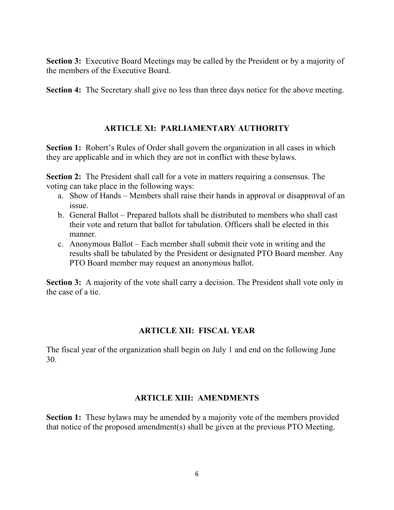**Section 3:** Executive Board Meetings may be called by the President or by a majority of the members of the Executive Board.

**Section 4:** The Secretary shall give no less than three days notice for the above meeting.

#### **ARTICLE XI: PARLIAMENTARY AUTHORITY**

**Section 1:** Robert's Rules of Order shall govern the organization in all cases in which they are applicable and in which they are not in conflict with these bylaws.

**Section 2:** The President shall call for a vote in matters requiring a consensus. The voting can take place in the following ways:

- a. Show of Hands Members shall raise their hands in approval or disapproval of an issue.
- b. General Ballot Prepared ballots shall be distributed to members who shall cast their vote and return that ballot for tabulation. Officers shall be elected in this manner.
- c. Anonymous Ballot Each member shall submit their vote in writing and the results shall be tabulated by the President or designated PTO Board member. Any PTO Board member may request an anonymous ballot.

**Section 3:** A majority of the vote shall carry a decision. The President shall vote only in the case of a tie.

#### **ARTICLE XII: FISCAL YEAR**

The fiscal year of the organization shall begin on July 1 and end on the following June 30.

#### **ARTICLE XIII: AMENDMENTS**

**Section 1:** These bylaws may be amended by a majority vote of the members provided that notice of the proposed amendment(s) shall be given at the previous PTO Meeting.